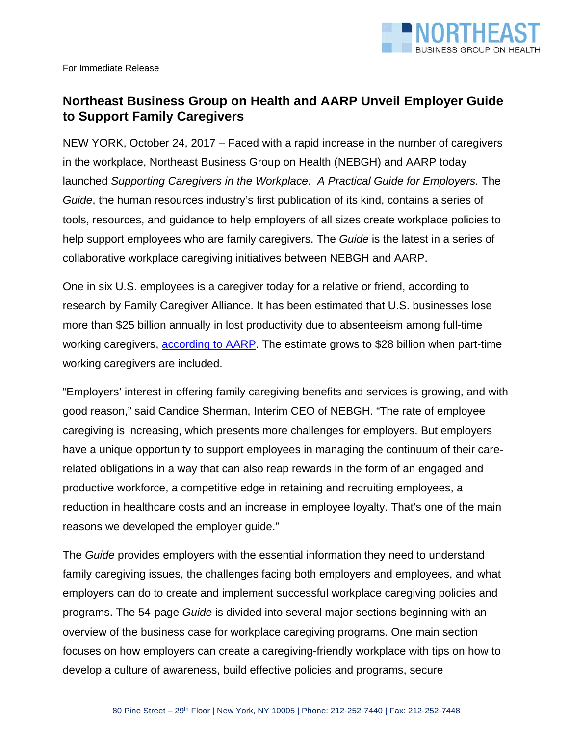

## **Northeast Business Group on Health and AARP Unveil Employer Guide to Support Family Caregivers**

NEW YORK, October 24, 2017 – Faced with a rapid increase in the number of caregivers in the workplace, Northeast Business Group on Health (NEBGH) and AARP today launched *Supporting Caregivers in the Workplace: A Practical Guide for Employers.* The *Guide*, the human resources industry's first publication of its kind, contains a series of tools, resources, and guidance to help employers of all sizes create workplace policies to help support employees who are family caregivers. The *Guide* is the latest in a series of collaborative workplace caregiving initiatives between NEBGH and AARP.

One in six U.S. employees is a caregiver today for a relative or friend, according to research by Family Caregiver Alliance. It has been estimated that U.S. businesses lose more than \$25 billion annually in lost productivity due to absenteeism among full-time working caregivers, according to AARP. The estimate grows to \$28 billion when part-time working caregivers are included.

"Employers' interest in offering family caregiving benefits and services is growing, and with good reason," said Candice Sherman, Interim CEO of NEBGH. "The rate of employee caregiving is increasing, which presents more challenges for employers. But employers have a unique opportunity to support employees in managing the continuum of their carerelated obligations in a way that can also reap rewards in the form of an engaged and productive workforce, a competitive edge in retaining and recruiting employees, a reduction in healthcare costs and an increase in employee loyalty. That's one of the main reasons we developed the employer guide."

The *Guide* provides employers with the essential information they need to understand family caregiving issues, the challenges facing both employers and employees, and what employers can do to create and implement successful workplace caregiving policies and programs. The 54-page *Guide* is divided into several major sections beginning with an overview of the business case for workplace caregiving programs. One main section focuses on how employers can create a caregiving-friendly workplace with tips on how to develop a culture of awareness, build effective policies and programs, secure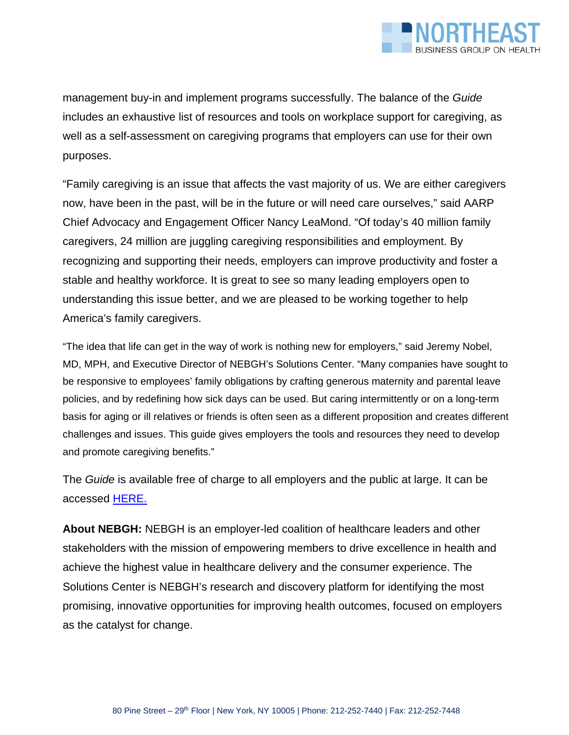

management buy-in and implement programs successfully. The balance of the *Guide* includes an exhaustive list of resources and tools on workplace support for caregiving, as well as a self-assessment on caregiving programs that employers can use for their own purposes.

"Family caregiving is an issue that affects the vast majority of us. We are either caregivers now, have been in the past, will be in the future or will need care ourselves," said AARP Chief Advocacy and Engagement Officer Nancy LeaMond. "Of today's 40 million family caregivers, 24 million are juggling caregiving responsibilities and employment. By recognizing and supporting their needs, employers can improve productivity and foster a stable and healthy workforce. It is great to see so many leading employers open to understanding this issue better, and we are pleased to be working together to help America's family caregivers.

"The idea that life can get in the way of work is nothing new for employers," said Jeremy Nobel, MD, MPH, and Executive Director of NEBGH's Solutions Center. "Many companies have sought to be responsive to employees' family obligations by crafting generous maternity and parental leave policies, and by redefining how sick days can be used. But caring intermittently or on a long-term basis for aging or ill relatives or friends is often seen as a different proposition and creates different challenges and issues. This guide gives employers the tools and resources they need to develop and promote caregiving benefits."

The *Guide* is available free of charge to all employers and the public at large. It can be accessed HERE.

**About NEBGH:** NEBGH is an employer-led coalition of healthcare leaders and other stakeholders with the mission of empowering members to drive excellence in health and achieve the highest value in healthcare delivery and the consumer experience. The Solutions Center is NEBGH's research and discovery platform for identifying the most promising, innovative opportunities for improving health outcomes, focused on employers as the catalyst for change.